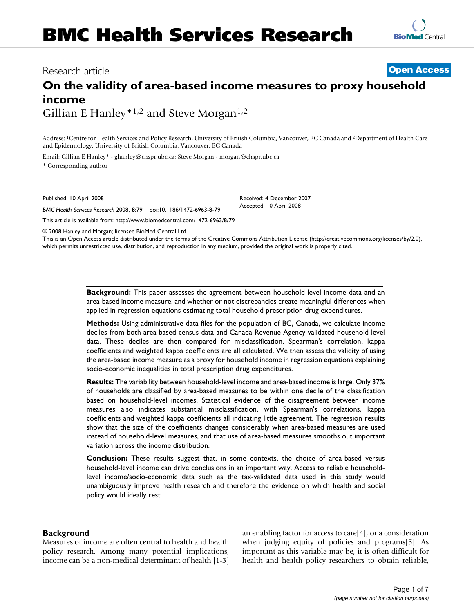# Research article **[Open Access](http://www.biomedcentral.com/info/about/charter/)**

# **On the validity of area-based income measures to proxy household income** Gillian E Hanley\*<sup>1,2</sup> and Steve Morgan<sup>1,2</sup>

Address: 1Centre for Health Services and Policy Research, University of British Columbia, Vancouver, BC Canada and 2Department of Health Care and Epidemiology, University of British Columbia, Vancouver, BC Canada

> Received: 4 December 2007 Accepted: 10 April 2008

Email: Gillian E Hanley\* - ghanley@chspr.ubc.ca; Steve Morgan - morgan@chspr.ubc.ca \* Corresponding author

Published: 10 April 2008

*BMC Health Services Research* 2008, **8**:79 doi:10.1186/1472-6963-8-79

[This article is available from: http://www.biomedcentral.com/1472-6963/8/79](http://www.biomedcentral.com/1472-6963/8/79)

© 2008 Hanley and Morgan; licensee BioMed Central Ltd.

This is an Open Access article distributed under the terms of the Creative Commons Attribution License [\(http://creativecommons.org/licenses/by/2.0\)](http://creativecommons.org/licenses/by/2.0), which permits unrestricted use, distribution, and reproduction in any medium, provided the original work is properly cited.

> **Background:** This paper assesses the agreement between household-level income data and an area-based income measure, and whether or not discrepancies create meaningful differences when applied in regression equations estimating total household prescription drug expenditures.

> **Methods:** Using administrative data files for the population of BC, Canada, we calculate income deciles from both area-based census data and Canada Revenue Agency validated household-level data. These deciles are then compared for misclassification. Spearman's correlation, kappa coefficients and weighted kappa coefficients are all calculated. We then assess the validity of using the area-based income measure as a proxy for household income in regression equations explaining socio-economic inequalities in total prescription drug expenditures.

> **Results:** The variability between household-level income and area-based income is large. Only 37% of households are classified by area-based measures to be within one decile of the classification based on household-level incomes. Statistical evidence of the disagreement between income measures also indicates substantial misclassification, with Spearman's correlations, kappa coefficients and weighted kappa coefficients all indicating little agreement. The regression results show that the size of the coefficients changes considerably when area-based measures are used instead of household-level measures, and that use of area-based measures smooths out important variation across the income distribution.

> **Conclusion:** These results suggest that, in some contexts, the choice of area-based versus household-level income can drive conclusions in an important way. Access to reliable householdlevel income/socio-economic data such as the tax-validated data used in this study would unambiguously improve health research and therefore the evidence on which health and social policy would ideally rest.

# **Background**

Measures of income are often central to health and health policy research. Among many potential implications, income can be a non-medical determinant of health [1-3] an enabling factor for access to care[4], or a consideration when judging equity of policies and programs[5]. As important as this variable may be, it is often difficult for health and health policy researchers to obtain reliable,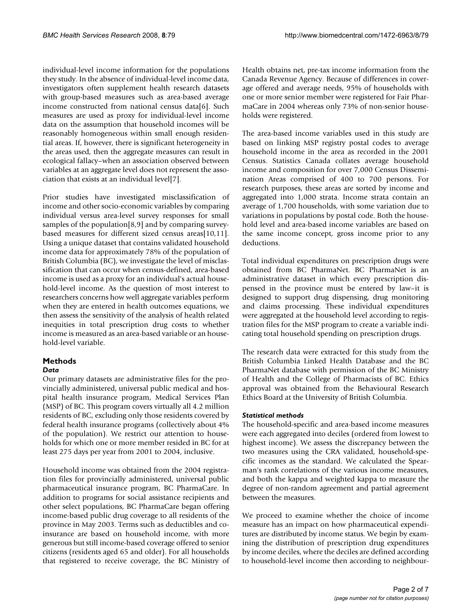individual-level income information for the populations they study. In the absence of individual-level income data, investigators often supplement health research datasets with group-based measures such as area-based average income constructed from national census data[6]. Such measures are used as proxy for individual-level income data on the assumption that household incomes will be reasonably homogeneous within small enough residential areas. If, however, there is significant heterogeneity in the areas used, then the aggregate measures can result in ecological fallacy–when an association observed between variables at an aggregate level does not represent the association that exists at an individual level[7].

Prior studies have investigated misclassification of income and other socio-economic variables by comparing individual versus area-level survey responses for small samples of the population[8,9] and by comparing surveybased measures for different sized census areas[10,11]. Using a unique dataset that contains validated household income data for approximately 78% of the population of British Columbia (BC), we investigate the level of misclassification that can occur when census-defined, area-based income is used as a proxy for an individual's actual household-level income. As the question of most interest to researchers concerns how well aggregate variables perform when they are entered in health outcomes equations, we then assess the sensitivity of the analysis of health related inequities in total prescription drug costs to whether income is measured as an area-based variable or an household-level variable.

# **Methods**

# *Data*

Our primary datasets are administrative files for the provincially administered, universal public medical and hospital health insurance program, Medical Services Plan (MSP) of BC. This program covers virtually all 4.2 million residents of BC, excluding only those residents covered by federal health insurance programs (collectively about 4% of the population). We restrict our attention to households for which one or more member resided in BC for at least 275 days per year from 2001 to 2004, inclusive.

Household income was obtained from the 2004 registration files for provincially administered, universal public pharmaceutical insurance program, BC PharmaCare. In addition to programs for social assistance recipients and other select populations, BC PharmaCare began offering income-based public drug coverage to all residents of the province in May 2003. Terms such as deductibles and coinsurance are based on household income, with more generous but still income-based coverage offered to senior citizens (residents aged 65 and older). For all households that registered to receive coverage, the BC Ministry of Health obtains net, pre-tax income information from the Canada Revenue Agency. Because of differences in coverage offered and average needs, 95% of households with one or more senior member were registered for Fair PharmaCare in 2004 whereas only 73% of non-senior households were registered.

The area-based income variables used in this study are based on linking MSP registry postal codes to average household income in the area as recorded in the 2001 Census. Statistics Canada collates average household income and composition for over 7,000 Census Dissemination Areas comprised of 400 to 700 persons. For research purposes, these areas are sorted by income and aggregated into 1,000 strata. Income strata contain an average of 1,700 households, with some variation due to variations in populations by postal code. Both the household level and area-based income variables are based on the same income concept, gross income prior to any deductions.

Total individual expenditures on prescription drugs were obtained from BC PharmaNet. BC PharmaNet is an administrative dataset in which every prescription dispensed in the province must be entered by law–it is designed to support drug dispensing, drug monitoring and claims processing. These individual expenditures were aggregated at the household level according to registration files for the MSP program to create a variable indicating total household spending on prescription drugs.

The research data were extracted for this study from the British Columbia Linked Health Database and the BC PharmaNet database with permission of the BC Ministry of Health and the College of Pharmacists of BC. Ethics approval was obtained from the Behavioural Research Ethics Board at the University of British Columbia.

# *Statistical methods*

The household-specific and area-based income measures were each aggregated into deciles (ordered from lowest to highest income). We assess the discrepancy between the two measures using the CRA validated, household-specific incomes as the standard. We calculated the Spearman's rank correlations of the various income measures, and both the kappa and weighted kappa to measure the degree of non-random agreement and partial agreement between the measures.

We proceed to examine whether the choice of income measure has an impact on how pharmaceutical expenditures are distributed by income status. We begin by examining the distribution of prescription drug expenditures by income deciles, where the deciles are defined according to household-level income then according to neighbour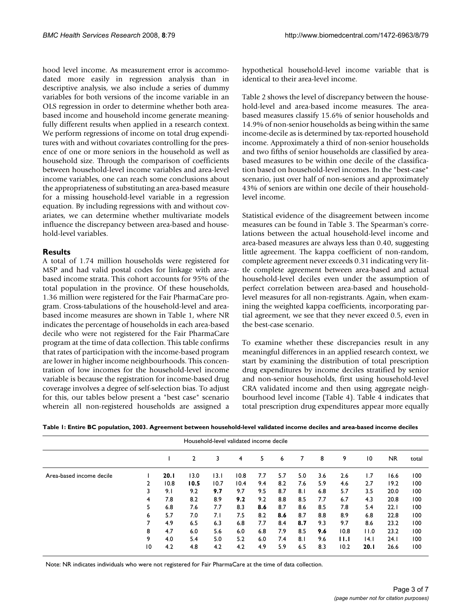hood level income. As measurement error is accommodated more easily in regression analysis than in descriptive analysis, we also include a series of dummy variables for both versions of the income variable in an OLS regression in order to determine whether both areabased income and household income generate meaningfully different results when applied in a research context. We perform regressions of income on total drug expenditures with and without covariates controlling for the presence of one or more seniors in the household as well as household size. Through the comparison of coefficients between household-level income variables and area-level income variables, one can reach some conclusions about the appropriateness of substituting an area-based measure for a missing household-level variable in a regression equation. By including regressions with and without covariates, we can determine whether multivariate models influence the discrepancy between area-based and household-level variables.

# **Results**

A total of 1.74 million households were registered for MSP and had valid postal codes for linkage with areabased income strata. This cohort accounts for 95% of the total population in the province. Of these households, 1.36 million were registered for the Fair PharmaCare program. Cross-tabulations of the household-level and areabased income measures are shown in Table 1, where NR indicates the percentage of households in each area-based decile who were not registered for the Fair PharmaCare program at the time of data collection. This table confirms that rates of participation with the income-based program are lower in higher income neighbourhoods. This concentration of low incomes for the household-level income variable is because the registration for income-based drug coverage involves a degree of self-selection bias. To adjust for this, our tables below present a "best case" scenario wherein all non-registered households are assigned a hypothetical household-level income variable that is identical to their area-level income.

Table 2 shows the level of discrepancy between the household-level and area-based income measures. The areabased measures classify 15.6% of senior households and 14.9% of non-senior households as being within the same income-decile as is determined by tax-reported household income. Approximately a third of non-senior households and two fifths of senior households are classified by areabased measures to be within one decile of the classification based on household-level incomes. In the "best-case" scenario, just over half of non-seniors and approximately 43% of seniors are within one decile of their householdlevel income.

Statistical evidence of the disagreement between income measures can be found in Table 3. The Spearman's correlations between the actual household-level income and area-based measures are always less than 0.40, suggesting little agreement. The kappa coefficient of non-random, complete agreement never exceeds 0.31 indicating very little complete agreement between area-based and actual household-level deciles even under the assumption of perfect correlation between area-based and householdlevel measures for all non-registrants. Again, when examining the weighted kappa coefficients, incorporating partial agreement, we see that they never exceed 0.5, even in the best-case scenario.

To examine whether these discrepancies result in any meaningful differences in an applied research context, we start by examining the distribution of total prescription drug expenditures by income deciles stratified by senior and non-senior households, first using household-level CRA validated income and then using aggregate neighbourhood level income (Table 4). Table 4 indicates that total prescription drug expenditures appear more equally

|  |  | Table 1: Entire BC population, 2003. Agreement between household-level validated income deciles and area-based income deciles |  |  |
|--|--|-------------------------------------------------------------------------------------------------------------------------------|--|--|
|--|--|-------------------------------------------------------------------------------------------------------------------------------|--|--|

| Household-level validated income decile |    |      |              |       |      |     |     |     |     |      |      |      |       |
|-----------------------------------------|----|------|--------------|-------|------|-----|-----|-----|-----|------|------|------|-------|
|                                         |    |      | $\mathbf{2}$ | 3     | 4    | 5   | 6   |     | 8   | 9    | 10   | NR.  | total |
| Area-based income decile                |    | 20.1 | 13.0         | 13. I | 10.8 | 7.7 | 5.7 | 5.0 | 3.6 | 2.6  | 1.7  | 16.6 | 100   |
|                                         | 2  | 10.8 | 10.5         | 10.7  | 10.4 | 9.4 | 8.2 | 7.6 | 5.9 | 4.6  | 2.7  | 19.2 | 100   |
|                                         | 3  | 9.1  | 9.2          | 9.7   | 9.7  | 9.5 | 8.7 | 8.1 | 6.8 | 5.7  | 3.5  | 20.0 | 100   |
|                                         | 4  | 7.8  | 8.2          | 8.9   | 9.2  | 9.2 | 8.8 | 8.5 | 7.7 | 6.7  | 4.3  | 20.8 | 100   |
|                                         | 5  | 6.8  | 7.6          | 7.7   | 8.3  | 8.6 | 8.7 | 8.6 | 8.5 | 7.8  | 5.4  | 22.1 | 100   |
|                                         | 6  | 5.7  | 7.0          | 7.1   | 7.5  | 8.2 | 8.6 | 8.7 | 8.8 | 8.9  | 6.8  | 22.8 | 100   |
|                                         | 7  | 4.9  | 6.5          | 6.3   | 6.8  | 7.7 | 8.4 | 8.7 | 9.3 | 9.7  | 8.6  | 23.2 | 100   |
|                                         | 8  | 4.7  | 6.0          | 5.6   | 6.0  | 6.8 | 7.9 | 8.5 | 9.6 | 10.8 | 11.0 | 23.2 | 100   |
|                                         | 9  | 4.0  | 5.4          | 5.0   | 5.2  | 6.0 | 7.4 | 8.1 | 9.6 | 11.1 | 14.I | 24.1 | 100   |
|                                         | 10 | 4.2  | 4.8          | 4.2   | 4.2  | 4.9 | 5.9 | 6.5 | 8.3 | 10.2 | 20.1 | 26.6 | 100   |

Note: NR indicates individuals who were not registered for Fair PharmaCare at the time of data collection.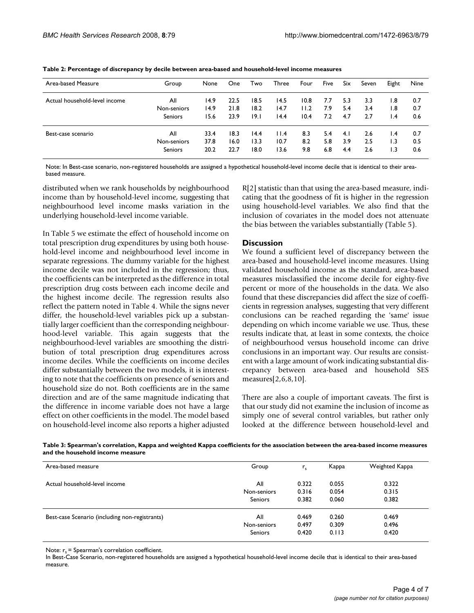| Area-based Measure            | Group          | None | One  | Two  | Three | Four | Five | Six | Seven | Eight           | Nine |
|-------------------------------|----------------|------|------|------|-------|------|------|-----|-------|-----------------|------|
| Actual household-level income | All            | 14.9 | 22.5 | 18.5 | 14.5  | 10.8 | 7.7  | 5.3 | 3.3   | 1.8             | 0.7  |
|                               | Non-seniors    | 14.9 | 21.8 | 18.2 | 14.7  | 11.2 | 7.9  | 5.4 | 3.4   | 1.8             | 0.7  |
|                               | <b>Seniors</b> | 15.6 | 23.9 | 19.I | 14.4  | 10.4 | 7.2  | 4.7 | 2.7   | $\mathsf{I}$ .4 | 0.6  |
| Best-case scenario            | All            | 33.4 | 18.3 | 14.4 | 11.4  | 8.3  | 5.4  | 4.1 | 2.6   | $\mathsf{I}$ .4 | 0.7  |
|                               | Non-seniors    | 37.8 | 16.0 | 13.3 | 10.7  | 8.2  | 5.8  | 3.9 | 2.5   | 1.3             | 0.5  |
|                               | <b>Seniors</b> | 20.2 | 22.7 | 18.0 | 13.6  | 9.8  | 6.8  | 4.4 | 2.6   | 1.3             | 0.6  |

**Table 2: Percentage of discrepancy by decile between area-based and household-level income measures**

Note: In Best-case scenario, non-registered households are assigned a hypothetical household-level income decile that is identical to their areabased measure.

distributed when we rank households by neighbourhood income than by household-level income, suggesting that neighbourhood level income masks variation in the underlying household-level income variable.

In Table 5 we estimate the effect of household income on total prescription drug expenditures by using both household-level income and neighbourhood level income in separate regressions. The dummy variable for the highest income decile was not included in the regression; thus, the coefficients can be interpreted as the difference in total prescription drug costs between each income decile and the highest income decile. The regression results also reflect the pattern noted in Table 4. While the signs never differ, the household-level variables pick up a substantially larger coefficient than the corresponding neighbourhood-level variable. This again suggests that the neighbourhood-level variables are smoothing the distribution of total prescription drug expenditures across income deciles. While the coefficients on income deciles differ substantially between the two models, it is interesting to note that the coefficients on presence of seniors and household size do not. Both coefficients are in the same direction and are of the same magnitude indicating that the difference in income variable does not have a large effect on other coefficients in the model. The model based on household-level income also reports a higher adjusted

R[2] statistic than that using the area-based measure, indicating that the goodness of fit is higher in the regression using household-level variables. We also find that the inclusion of covariates in the model does not attenuate the bias between the variables substantially (Table 5).

# **Discussion**

We found a sufficient level of discrepancy between the area-based and household-level income measures. Using validated household income as the standard, area-based measures misclassified the income decile for eighty-five percent or more of the households in the data. We also found that these discrepancies did affect the size of coefficients in regression analyses, suggesting that very different conclusions can be reached regarding the 'same' issue depending on which income variable we use. Thus, these results indicate that, at least in some contexts, the choice of neighbourhood versus household income can drive conclusions in an important way. Our results are consistent with a large amount of work indicating substantial discrepancy between area-based and household SES measures[2,6,8,10].

There are also a couple of important caveats. The first is that our study did not examine the inclusion of income as simply one of several control variables, but rather only looked at the difference between household-level and

| Table 3: Spearman's correlation, Kappa and weighted Kappa coefficients for the association between the area-based income measures |  |
|-----------------------------------------------------------------------------------------------------------------------------------|--|
| and the household income measure                                                                                                  |  |

| Area-based measure                             | Group          | $r_{\rm s}$ | Kappa | Weighted Kappa |
|------------------------------------------------|----------------|-------------|-------|----------------|
| Actual household-level income                  | All            | 0.322       | 0.055 | 0.322          |
|                                                | Non-seniors    | 0.316       | 0.054 | 0.315          |
|                                                | <b>Seniors</b> | 0.382       | 0.060 | 0.382          |
| Best-case Scenario (including non-registrants) | All            | 0.469       | 0.260 | 0.469          |
|                                                | Non-seniors    | 0.497       | 0.309 | 0.496          |
|                                                | <b>Seniors</b> | 0.420       | 0.113 | 0.420          |

Note:  $r =$  Spearman's correlation coefficient.

In Best-Case Scenario, non-registered households are assigned a hypothetical household-level income decile that is identical to their area-based measure.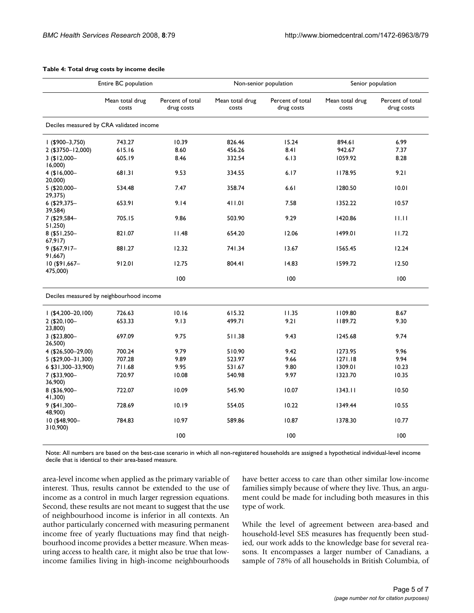|                           | Entire BC population                     |                                |                          | Non-senior population          | Senior population        |                                |  |
|---------------------------|------------------------------------------|--------------------------------|--------------------------|--------------------------------|--------------------------|--------------------------------|--|
|                           | Mean total drug<br>costs                 | Percent of total<br>drug costs | Mean total drug<br>costs | Percent of total<br>drug costs | Mean total drug<br>costs | Percent of total<br>drug costs |  |
|                           | Deciles measured by CRA validated income |                                |                          |                                |                          |                                |  |
| $1($900-3,750)$           | 743.27                                   | 10.39                          | 826.46                   | 15.24                          | 894.61                   | 6.99                           |  |
| 2 (\$3750-12,000)         | 615.16                                   | 8.60                           | 456.26                   | 8.41                           | 942.67                   | 7.37                           |  |
| $3($12,000-$<br>16,000    | 605.19                                   | 8.46                           | 332.54                   | 6.13                           | 1059.92                  | 8.28                           |  |
| $4$ (\$16,000-<br>20,000) | 681.31                                   | 9.53                           | 334.55                   | 6.17                           | 1178.95                  | 9.21                           |  |
| $5($20,000-$<br>29,375)   | 534.48                                   | 7.47                           | 358.74                   | 6.61                           | 1280.50                  | 10.01                          |  |
| $6($29,375-$<br>39,584)   | 653.91                                   | 9.14                           | 411.01                   | 7.58                           | 1352.22                  | 10.57                          |  |
| 7 (\$29,584-<br>51,250)   | 705.15                                   | 9.86                           | 503.90                   | 9.29                           | 1420.86                  | 11.IT                          |  |
| $8($ \$51,250-<br>67,917) | 821.07                                   | II.48                          | 654.20                   | 12.06                          | 1499.01                  | 11.72                          |  |
| $9($ \$67,917-<br>91,667) | 881.27                                   | 12.32                          | 741.34                   | 13.67                          | 1565.45                  | 12.24                          |  |
| 10 (\$91,667-<br>475,000) | 912.01                                   | 12.75                          | 804.41                   | 14.83                          | 1599.72                  | 12.50                          |  |
|                           |                                          | 100                            |                          | 100                            |                          | 100                            |  |
|                           | Deciles measured by neighbourhood income |                                |                          |                                |                          |                                |  |
| $($ \$4,200-20,100)       | 726.63                                   | 10.16                          | 615.32                   | 11.35                          | 1109.80                  | 8.67                           |  |
| $2($20,100-$<br>23,800)   | 653.33                                   | 9.13                           | 499.71                   | 9.21                           | 1189.72                  | 9.30                           |  |
| $3($23,800-$<br>26,500)   | 697.09                                   | 9.75                           | 511.38                   | 9.43                           | 1245.68                  | 9.74                           |  |
| 4 (\$26,500-29,00)        | 700.24                                   | 9.79                           | 510.90                   | 9.42                           | 1273.95                  | 9.96                           |  |
| $5($ \$29,00-31,300)      | 707.28                                   | 9.89                           | 523.97                   | 9.66                           | 1271.18                  | 9.94                           |  |
| 6 \$31,300-33,900)        | 711.68                                   | 9.95                           | 531.67                   | 9.80                           | 1309.01                  | 10.23                          |  |
| 7 (\$33,900-<br>36,900)   | 720.97                                   | 10.08                          | 540.98                   | 9.97                           | 1323.70                  | 10.35                          |  |
| 8 (\$36,900-<br>41,300)   | 722.07                                   | 10.09                          | 545.90                   | 10.07                          | 1343.11                  | 10.50                          |  |
| $9($ \$41,300-<br>48,900) | 728.69                                   | 10.19                          | 554.05                   | 10.22                          | 1349.44                  | 10.55                          |  |
| 10 (\$48,900-<br>310,900) | 784.83                                   | 10.97                          | 589.86                   | 10.87                          | 1378.30                  | 10.77                          |  |
|                           |                                          | 100                            |                          | 100                            |                          | 100                            |  |

#### **Table 4: Total drug costs by income decile**

Note: All numbers are based on the best-case scenario in which all non-registered households are assigned a hypothetical individual-level income decile that is identical to their area-based measure.

area-level income when applied as the primary variable of interest. Thus, results cannot be extended to the use of income as a control in much larger regression equations. Second, these results are not meant to suggest that the use of neighbourhood income is inferior in all contexts. An author particularly concerned with measuring permanent income free of yearly fluctuations may find that neighbourhood income provides a better measure. When measuring access to health care, it might also be true that lowincome families living in high-income neighbourhoods have better access to care than other similar low-income families simply because of where they live. Thus, an argument could be made for including both measures in this type of work.

While the level of agreement between area-based and household-level SES measures has frequently been studied, our work adds to the knowledge base for several reasons. It encompasses a larger number of Canadians, a sample of 78% of all households in British Columbia, of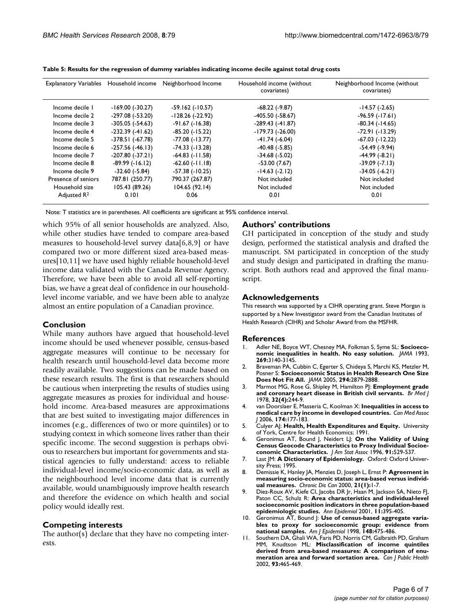|                         |                      | Explanatory Variables Household income Neighborhood Income | Household income (without<br>covariates) | Neighborhood Income (without<br>covariates) |
|-------------------------|----------------------|------------------------------------------------------------|------------------------------------------|---------------------------------------------|
| Income decile I         | $-169.00(-30.27)$    | -59.162 (-10.57)                                           | $-68.22$ ( $-9.87$ )                     | $-14.57(-2.65)$                             |
| Income decile 2         | $-297.08(-53.20)$    | $-128.26(-22.92)$                                          | $-405.50(-58.67)$                        | $-96.59(-17.61)$                            |
| Income decile 3         | $-305.05(-54.63)$    | -91.67 (-16.38)                                            | $-289.43(-41.87)$                        | $-80.34(-14.65)$                            |
| Income decile 4         | $-232.39(-41.62)$    | $-85.20$ ( $-15.22$ )                                      | $-179.73$ ( $-26.00$ )                   | $-72.91(-13.29)$                            |
| Income decile 5         | $-378.51$ $(-67.78)$ | $-77.08$ $(-13.77)$                                        | $-41.74(-6.04)$                          | $-67.03$ ( $-12.22$ )                       |
| Income decile 6         | $-257.56(-46.13)$    | $-74.33(-13.28)$                                           | $-40.48$ ( $-5.85$ )                     | -54.49 (-9.94)                              |
| Income decile 7         | $-207.80(-37.21)$    | $-64.83$ $(-11.58)$                                        | $-34.68$ $(-5.02)$                       | $-44.99(-8.21)$                             |
| Income decile 8         | $-89.99(-16.12)$     | $-62.60(-11.18)$                                           | $-53.00(7.67)$                           | $-39.09(-7.13)$                             |
| Income decile 9         | -32.60 (-5.84)       | $-57.38(-10.25)$                                           | $-14.63(-2.12)$                          | $-34.05(-6.21)$                             |
| Presence of seniors     | 787.81 (250.77)      | 790.37 (267.87)                                            | Not included                             | Not included                                |
| Household size          | 105.43 (89.26)       | 104.65 (92.14)                                             | Not included                             | Not included                                |
| Adjusted R <sup>2</sup> | 0.101                | 0.06                                                       | 0.01                                     | 0.01                                        |

**Table 5: Results for the regression of dummy variables indicating income decile against total drug costs**

Note: T statistics are in parentheses. All coefficients are significant at 95% confidence interval.

which 95% of all senior households are analyzed. Also, while other studies have tended to compare area-based measures to household-level survey data[6,8,9] or have compared two or more different sized area-based measures[10,11] we have used highly reliable household-level income data validated with the Canada Revenue Agency. Therefore, we have been able to avoid all self-reporting bias, we have a great deal of confidence in our householdlevel income variable, and we have been able to analyze almost an entire population of a Canadian province.

## **Conclusion**

While many authors have argued that household-level income should be used whenever possible, census-based aggregate measures will continue to be necessary for health research until household-level data become more readily available. Two suggestions can be made based on these research results. The first is that researchers should be cautious when interpreting the results of studies using aggregate measures as proxies for individual and household income. Area-based measures are approximations that are best suited to investigating major differences in incomes (e.g., differences of two or more quintiles) or to studying context in which someone lives rather than their specific income. The second suggestion is perhaps obvious to researchers but important for governments and statistical agencies to fully understand: access to reliable individual-level income/socio-economic data, as well as the neighbourhood level income data that is currently available, would unambiguously improve health research and therefore the evidence on which health and social policy would ideally rest.

# **Competing interests**

The author(s) declare that they have no competing interests.

## **Authors' contributions**

GH participated in conception of the study and study design, performed the statistical analysis and drafted the manuscript. SM participated in conception of the study and study design and participated in drafting the manuscript. Both authors read and approved the final manuscript.

## **Acknowledgements**

This research was supported by a CIHR operating grant. Steve Morgan is supported by a New Investigator award from the Canadian Institutes of Health Research (CIHR) and Scholar Award from the MSFHR.

## **References**

- 1. Adler NE, Boyce WT, Chesney MA, Folkman S, Syme SL: **[Socioeco](http://www.ncbi.nlm.nih.gov/entrez/query.fcgi?cmd=Retrieve&db=PubMed&dopt=Abstract&list_uids=8505817)[nomic inequalities in health. No easy solution.](http://www.ncbi.nlm.nih.gov/entrez/query.fcgi?cmd=Retrieve&db=PubMed&dopt=Abstract&list_uids=8505817)** *JAMA* 1993, **269:**3140-3145.
- 2. Braveman PA, Cubbin C, Egerter S, Chideya S, Marchi KS, Metzler M, Posner S: **[Socioeconomic Status in Health Research One Size](http://www.ncbi.nlm.nih.gov/entrez/query.fcgi?cmd=Retrieve&db=PubMed&dopt=Abstract&list_uids=16352796) [Does Not Fit All.](http://www.ncbi.nlm.nih.gov/entrez/query.fcgi?cmd=Retrieve&db=PubMed&dopt=Abstract&list_uids=16352796)** *JAMA* 2005, **294:**2879-2888.
- 3. Marmot MG, Rose G, Shipley M, Hamilton PJ: **[Employment grade](http://www.ncbi.nlm.nih.gov/entrez/query.fcgi?cmd=Retrieve&db=PubMed&dopt=Abstract&list_uids=744814) [and coronary heart disease in British civil servants.](http://www.ncbi.nlm.nih.gov/entrez/query.fcgi?cmd=Retrieve&db=PubMed&dopt=Abstract&list_uids=744814)** *Br Med J* 1978, **32(4):**244-9.
- 4. van Doorslaer E, Masseria C, Koolman X: **Inequalities in access to medical care by income in developed countries.** *Can Med Assoc J* 2006, **174:**177-183.
- 5. Culyer AJ: **[Health, Health Expenditures and Equity.](http://www.ncbi.nlm.nih.gov/entrez/query.fcgi?cmd=Retrieve&db=PubMed&dopt=Abstract&list_uids=2043852)** University of York, Centre for Health Economics; 1991.
- 6. Geronimus AT, Bound J, Neidert LJ: **On the Validity of Using Census Geocode Characteristics to Proxy Individual Socioeconomic Characteristics.** *J Am Stat Assoc* 1996, **91:**529-537.
- 7. Last JM: **A Dictionary of Epidemiology.** Oxford: Oxford University Press; 1995.
- 8. Demissie K, Hanley JA, Menzies D, Joseph L, Ernst P: **[Agreement in](http://www.ncbi.nlm.nih.gov/entrez/query.fcgi?cmd=Retrieve&db=PubMed&dopt=Abstract&list_uids=10813687) [measuring socio-economic status: area-based versus individ](http://www.ncbi.nlm.nih.gov/entrez/query.fcgi?cmd=Retrieve&db=PubMed&dopt=Abstract&list_uids=10813687)[ual measures.](http://www.ncbi.nlm.nih.gov/entrez/query.fcgi?cmd=Retrieve&db=PubMed&dopt=Abstract&list_uids=10813687)** *Chronic Dis Can* 2000, **21(1):**1-7.
- 9. Diez-Roux AV, Kiefe CI, Jacobs DR Jr, Haan M, Jackson SA, Nieto FJ, Paton CC, Schulz R: **[Area characteristics and individual-level](http://www.ncbi.nlm.nih.gov/entrez/query.fcgi?cmd=Retrieve&db=PubMed&dopt=Abstract&list_uids=11454499) [socioeconomic position indicators in three population-based](http://www.ncbi.nlm.nih.gov/entrez/query.fcgi?cmd=Retrieve&db=PubMed&dopt=Abstract&list_uids=11454499) [epidemiologic studies.](http://www.ncbi.nlm.nih.gov/entrez/query.fcgi?cmd=Retrieve&db=PubMed&dopt=Abstract&list_uids=11454499)** *Ann Epidemiol* 2001, **11:**395-405.
- 10. Geronimus AT, Bound J: **[Use of census-based aggregate varia](http://www.ncbi.nlm.nih.gov/entrez/query.fcgi?cmd=Retrieve&db=PubMed&dopt=Abstract&list_uids=9737560)[bles to proxy for socioeconomic group: evidence from](http://www.ncbi.nlm.nih.gov/entrez/query.fcgi?cmd=Retrieve&db=PubMed&dopt=Abstract&list_uids=9737560) [national samples.](http://www.ncbi.nlm.nih.gov/entrez/query.fcgi?cmd=Retrieve&db=PubMed&dopt=Abstract&list_uids=9737560)** *Am J Epidemiol* 1998, **148:**475-486.
- 11. Southern DA, Ghali WA, Faris PD, Norris CM, Galbraith PD, Graham MM, Knudtson ML: **[Misclassification of income quintiles](http://www.ncbi.nlm.nih.gov/entrez/query.fcgi?cmd=Retrieve&db=PubMed&dopt=Abstract&list_uids=12448873) [derived from area-based measures: A comparison of enu](http://www.ncbi.nlm.nih.gov/entrez/query.fcgi?cmd=Retrieve&db=PubMed&dopt=Abstract&list_uids=12448873)[meration area and forward sortation area.](http://www.ncbi.nlm.nih.gov/entrez/query.fcgi?cmd=Retrieve&db=PubMed&dopt=Abstract&list_uids=12448873)** *Can J Public Health* 2002, **93:**465-469.